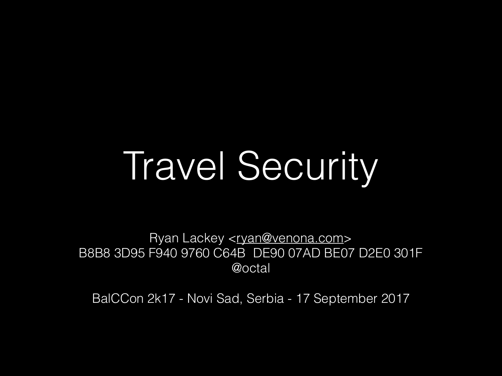## Travel Security

Ryan Lackey <rvan@venona.com> B8B8 3D95 F940 9760 C64B DE90 07AD BE07 D2E0 301F @octal

BalCCon 2k17 - Novi Sad, Serbia - 17 September 2017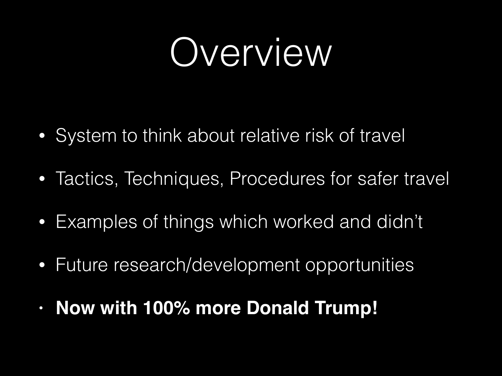### Overview

- System to think about relative risk of travel
- Tactics, Techniques, Procedures for safer travel
- Examples of things which worked and didn't
- Future research/development opportunities
- **• Now with 100% more Donald Trump!**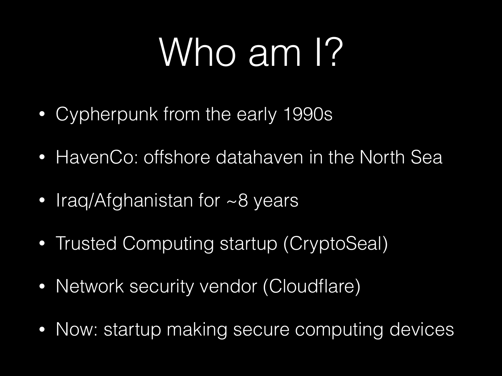### Who am I?

- Cypherpunk from the early 1990s
- HavenCo: offshore datahaven in the North Sea
- Iraq/Afghanistan for ~8 years
- Trusted Computing startup (CryptoSeal)
- Network security vendor (Cloudflare)
- Now: startup making secure computing devices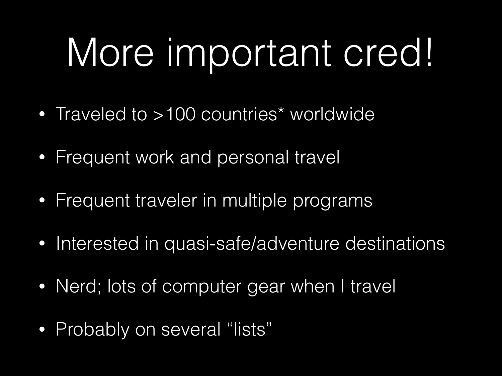## More important cred!

- Traveled to >100 countries\* worldwide
- Frequent work and personal travel
- Frequent traveler in multiple programs
- Interested in quasi-safe/adventure destinations
- Nerd; lots of computer gear when I travel
- Probably on several "lists"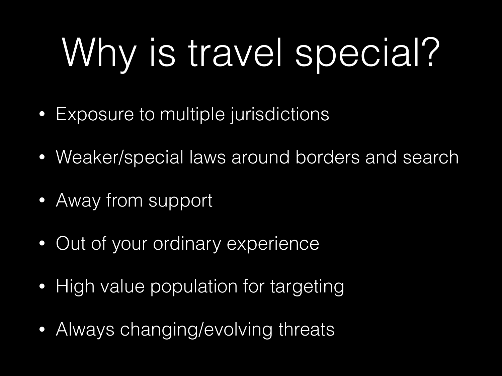# Why is travel special?

- Exposure to multiple jurisdictions
- Weaker/special laws around borders and search
- Away from support
- Out of your ordinary experience
- High value population for targeting
- Always changing/evolving threats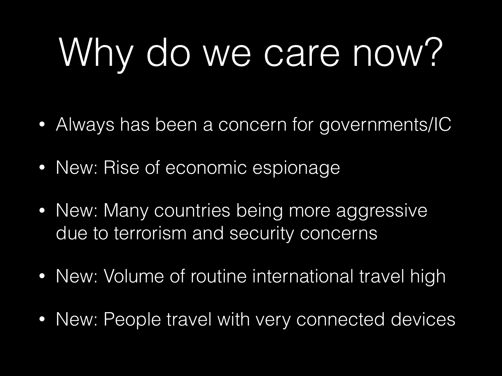# Why do we care now?

- Always has been a concern for governments/IC
- New: Rise of economic espionage
- New: Many countries being more aggressive due to terrorism and security concerns
- New: Volume of routine international travel high
- New: People travel with very connected devices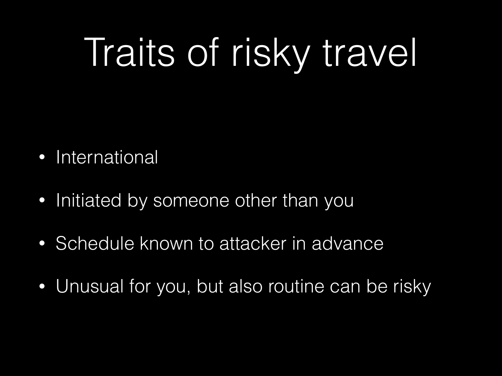## Traits of risky travel

- International
- Initiated by someone other than you
- Schedule known to attacker in advance
- Unusual for you, but also routine can be risky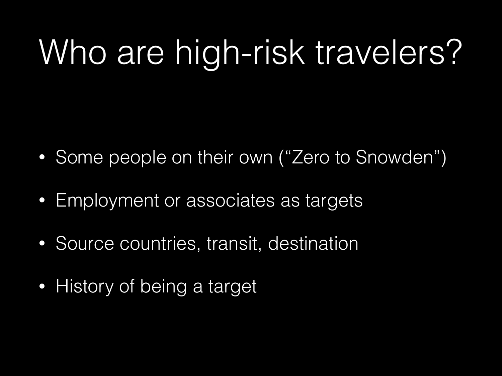### Who are high-risk travelers?

- Some people on their own ("Zero to Snowden")
- Employment or associates as targets
- Source countries, transit, destination
- History of being a target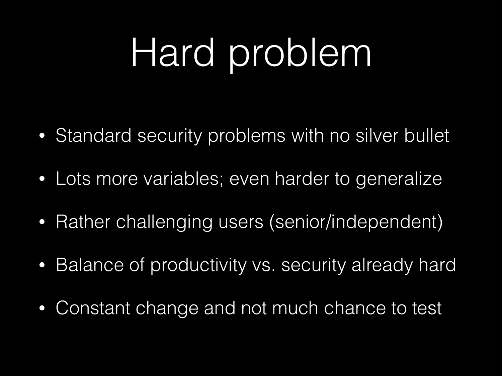## Hard problem

- Standard security problems with no silver bullet
- Lots more variables; even harder to generalize
- Rather challenging users (senior/independent)
- Balance of productivity vs. security already hard
- Constant change and not much chance to test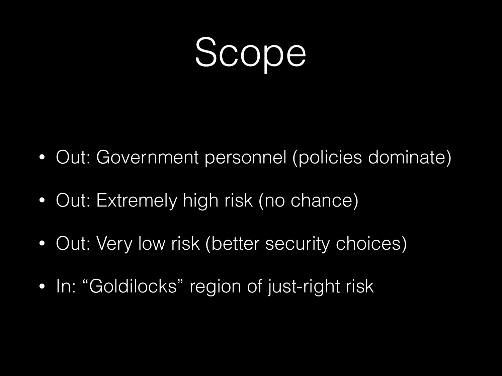## Scope

- Out: Government personnel (policies dominate)
- Out: Extremely high risk (no chance)
- Out: Very low risk (better security choices)
- In: "Goldilocks" region of just-right risk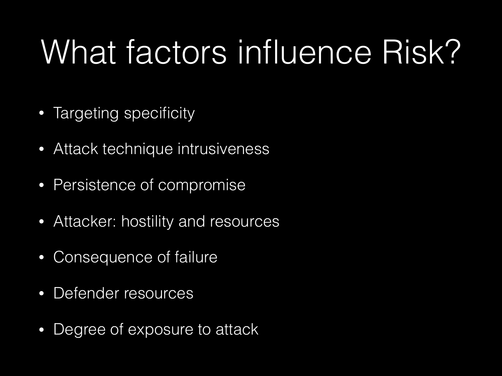#### What factors influence Risk?

- Targeting specificity
- Attack technique intrusiveness
- Persistence of compromise
- Attacker: hostility and resources
- Consequence of failure
- Defender resources
- Degree of exposure to attack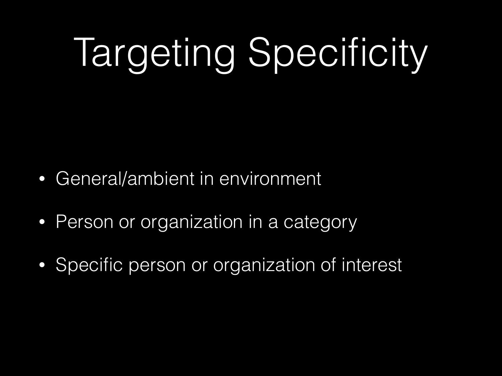# Targeting Specificity

- General/ambient in environment
- Person or organization in a category
- Specific person or organization of interest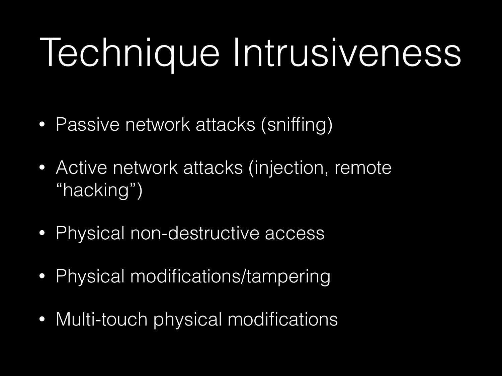## Technique Intrusiveness

- Passive network attacks (sniffing)
- Active network attacks (injection, remote "hacking")
- Physical non-destructive access
- Physical modifications/tampering
- Multi-touch physical modifications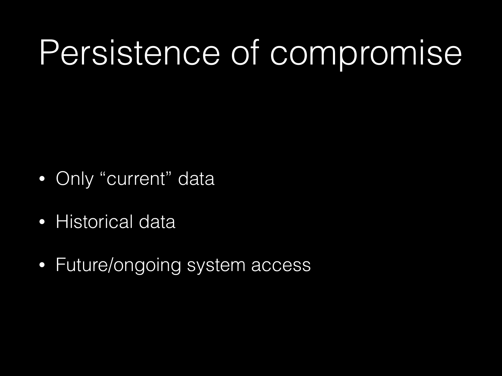#### Persistence of compromise

- Only "current" data
- Historical data
- Future/ongoing system access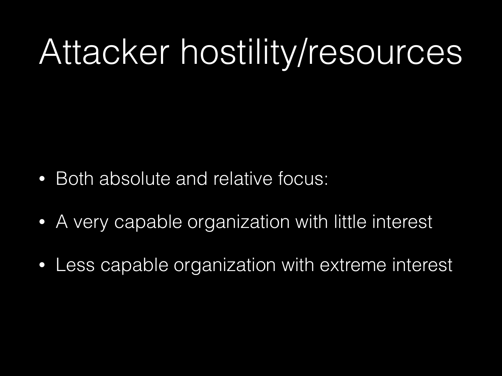#### Attacker hostility/resources

- Both absolute and relative focus:
- A very capable organization with little interest
- Less capable organization with extreme interest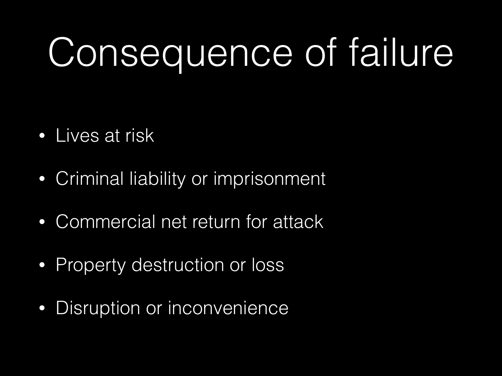## Consequence of failure

- Lives at risk
- Criminal liability or imprisonment
- Commercial net return for attack
- Property destruction or loss
- Disruption or inconvenience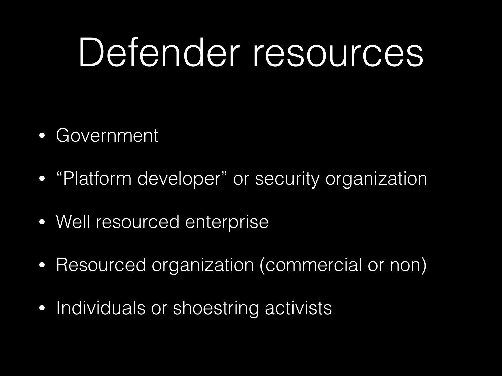### Defender resources

- Government
- "Platform developer" or security organization
- Well resourced enterprise
- Resourced organization (commercial or non)
- Individuals or shoestring activists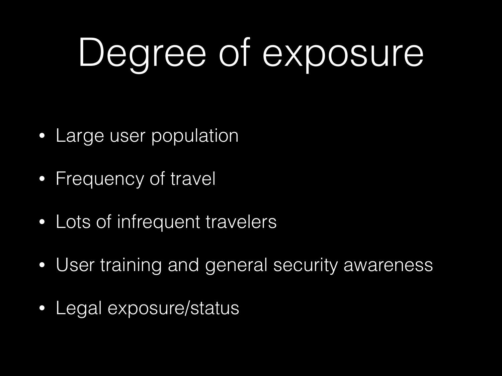## Degree of exposure

- Large user population
- Frequency of travel
- Lots of infrequent travelers
- User training and general security awareness
- Legal exposure/status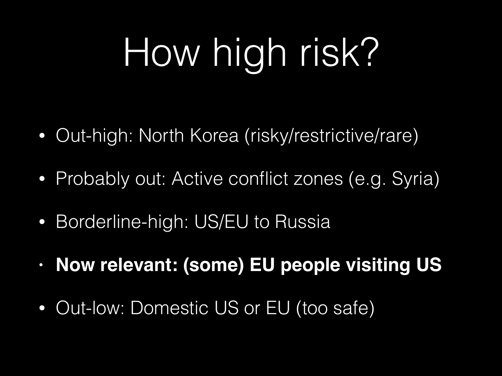# How high risk?

- Out-high: North Korea (risky/restrictive/rare)
- Probably out: Active conflict zones (e.g. Syria)
- Borderline-high: US/EU to Russia
- **• Now relevant: (some) EU people visiting US**
- Out-low: Domestic US or EU (too safe)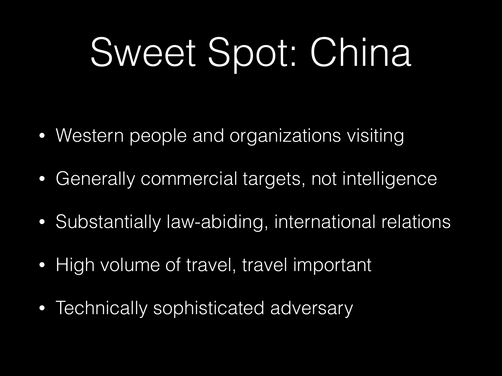## Sweet Spot: China

- Western people and organizations visiting
- Generally commercial targets, not intelligence
- Substantially law-abiding, international relations
- High volume of travel, travel important
- Technically sophisticated adversary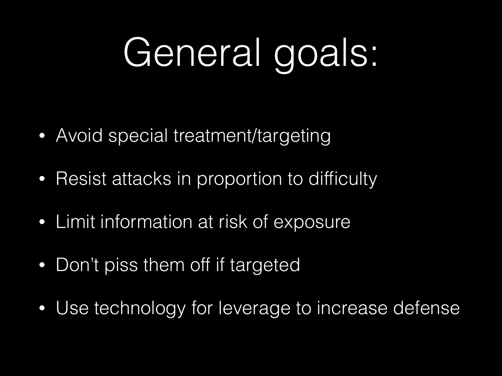## General goals:

- Avoid special treatment/targeting
- Resist attacks in proportion to difficulty
- Limit information at risk of exposure
- Don't piss them off if targeted
- Use technology for leverage to increase defense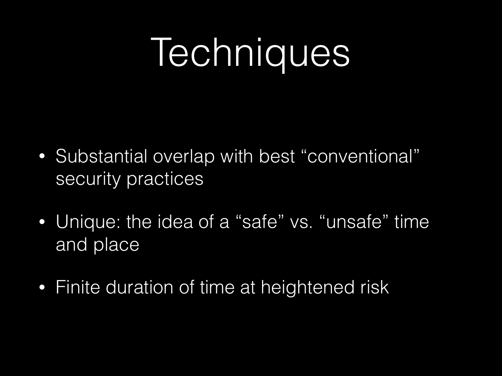### Techniques

- Substantial overlap with best "conventional" security practices
- Unique: the idea of a "safe" vs. "unsafe" time and place
- Finite duration of time at heightened risk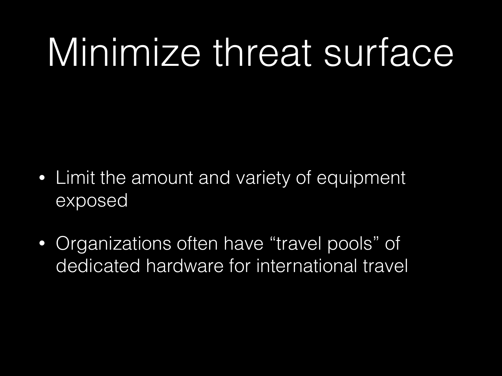### Minimize threat surface

- Limit the amount and variety of equipment exposed
- Organizations often have "travel pools" of dedicated hardware for international travel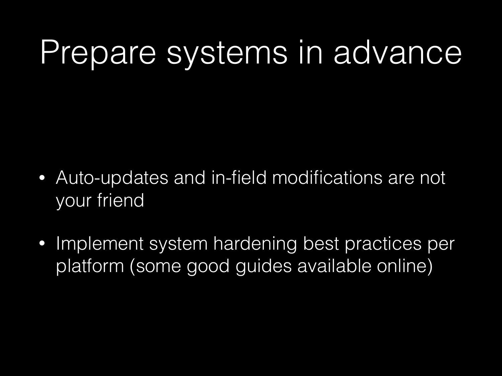#### Prepare systems in advance

- Auto-updates and in-field modifications are not your friend
- Implement system hardening best practices per platform (some good guides available online)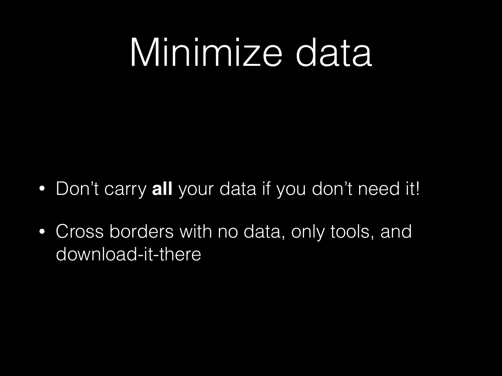### Minimize data

- Don't carry **all** your data if you don't need it!
- Cross borders with no data, only tools, and download-it-there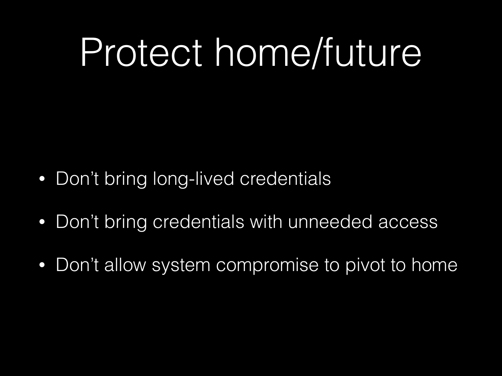### Protect home/future

- Don't bring long-lived credentials
- Don't bring credentials with unneeded access
- Don't allow system compromise to pivot to home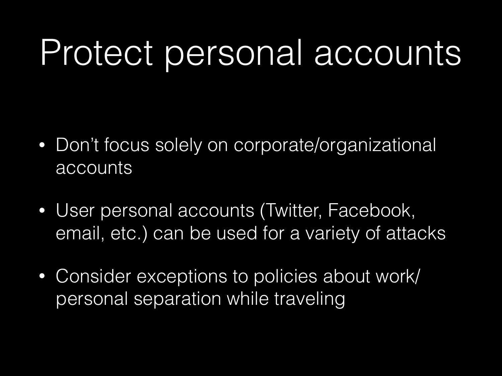#### Protect personal accounts

- Don't focus solely on corporate/organizational accounts
- User personal accounts (Twitter, Facebook, email, etc.) can be used for a variety of attacks
- Consider exceptions to policies about work/ personal separation while traveling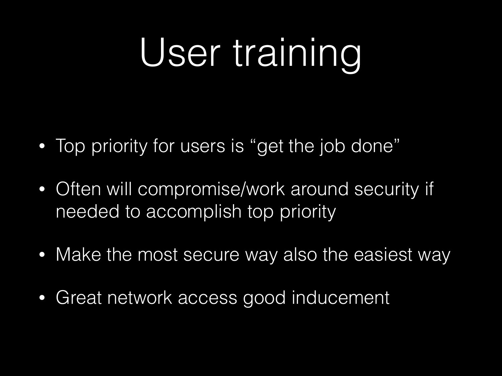## User training

- Top priority for users is "get the job done"
- Often will compromise/work around security if needed to accomplish top priority
- Make the most secure way also the easiest way
- Great network access good inducement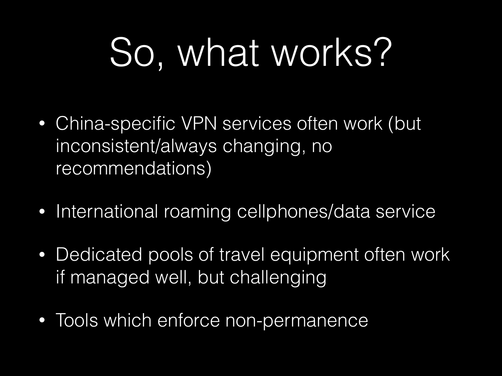## So, what works?

- China-specific VPN services often work (but inconsistent/always changing, no recommendations)
- International roaming cellphones/data service
- Dedicated pools of travel equipment often work if managed well, but challenging
- Tools which enforce non-permanence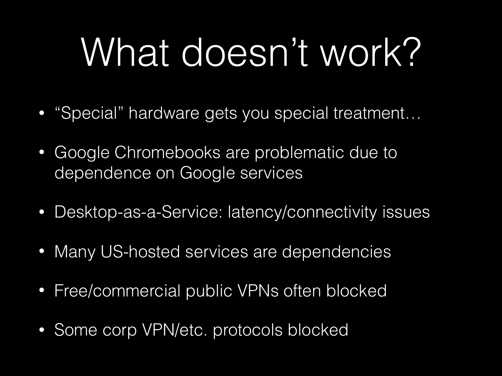## What doesn't work?

- "Special" hardware gets you special treatment…
- Google Chromebooks are problematic due to dependence on Google services
- Desktop-as-a-Service: latency/connectivity issues
- Many US-hosted services are dependencies
- Free/commercial public VPNs often blocked
- Some corp VPN/etc. protocols blocked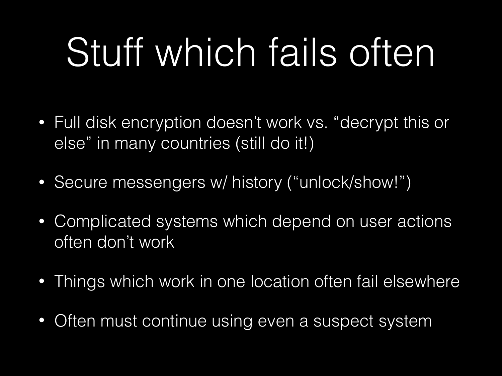## Stuff which fails often

- Full disk encryption doesn't work vs. "decrypt this or else" in many countries (still do it!)
- Secure messengers w/ history ("unlock/show!")
- Complicated systems which depend on user actions often don't work
- Things which work in one location often fail elsewhere
- Often must continue using even a suspect system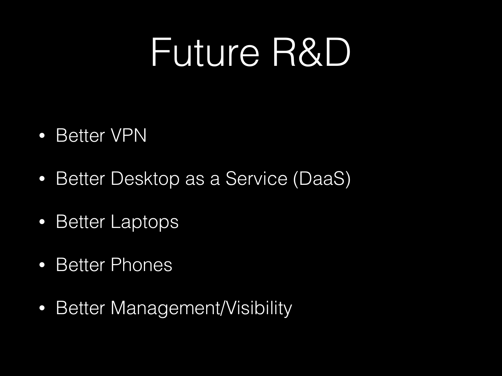### Future R&D

- Better VPN
- Better Desktop as a Service (DaaS)
- Better Laptops
- Better Phones
- Better Management/Visibility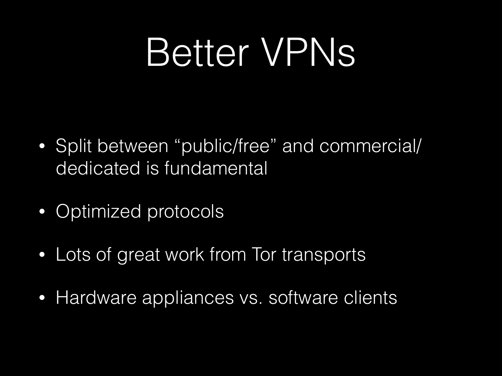### Better VPNs

- Split between "public/free" and commercial/ dedicated is fundamental
- Optimized protocols
- Lots of great work from Tor transports
- Hardware appliances vs. software clients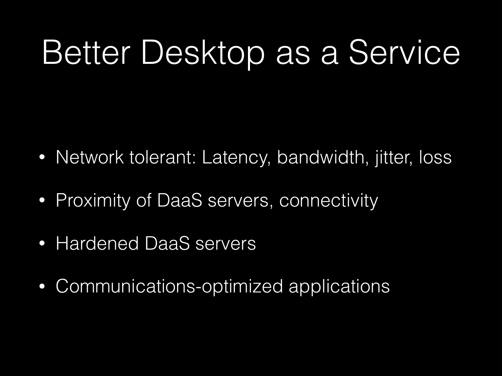#### Better Desktop as a Service

- Network tolerant: Latency, bandwidth, jitter, loss
- Proximity of DaaS servers, connectivity
- Hardened DaaS servers
- Communications-optimized applications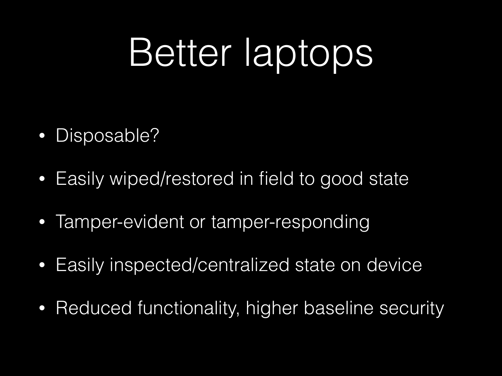### Better laptops

- Disposable?
- Easily wiped/restored in field to good state
- Tamper-evident or tamper-responding
- Easily inspected/centralized state on device
- Reduced functionality, higher baseline security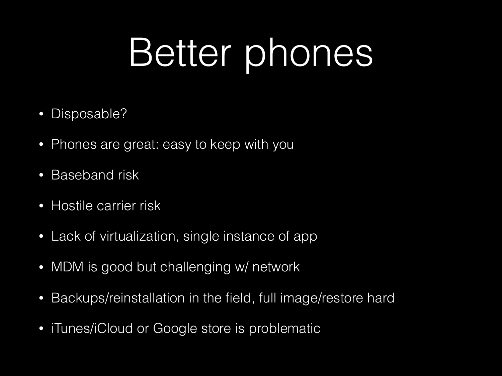## Better phones

- Disposable?
- Phones are great: easy to keep with you
- Baseband risk
- Hostile carrier risk
- Lack of virtualization, single instance of app
- MDM is good but challenging w/ network
- Backups/reinstallation in the field, full image/restore hard
- iTunes/iCloud or Google store is problematic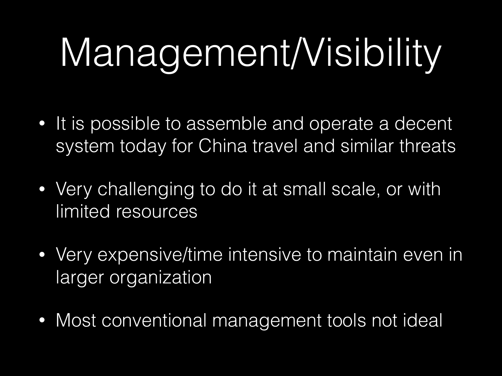# Management/Visibility

- It is possible to assemble and operate a decent system today for China travel and similar threats
- Very challenging to do it at small scale, or with limited resources
- Very expensive/time intensive to maintain even in larger organization
- Most conventional management tools not ideal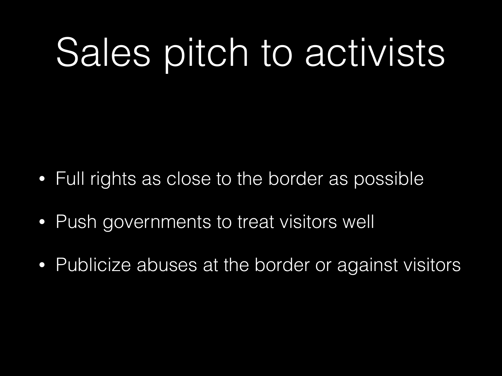### Sales pitch to activists

- Full rights as close to the border as possible
- Push governments to treat visitors well
- Publicize abuses at the border or against visitors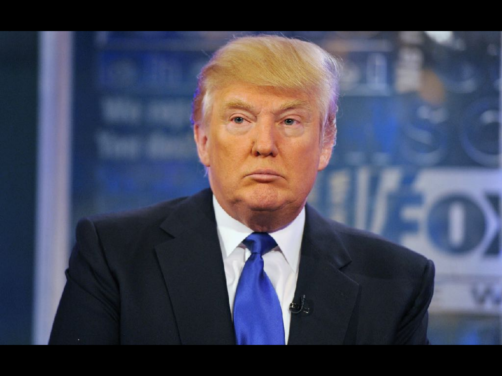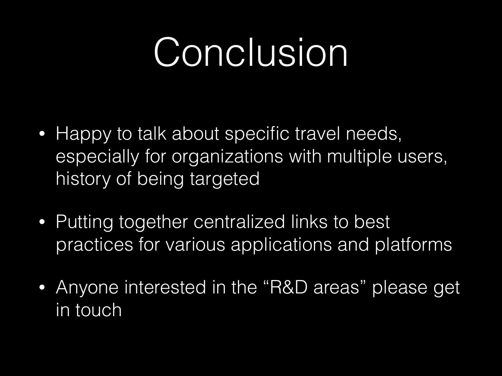### Conclusion

- Happy to talk about specific travel needs, especially for organizations with multiple users, history of being targeted
- Putting together centralized links to best practices for various applications and platforms
- Anyone interested in the "R&D areas" please get in touch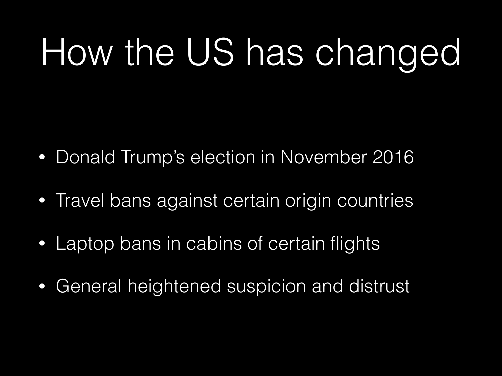## How the US has changed

- Donald Trump's election in November 2016
- Travel bans against certain origin countries
- Laptop bans in cabins of certain flights
- General heightened suspicion and distrust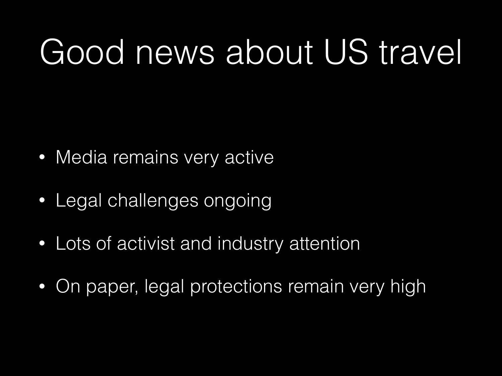#### Good news about US travel

- Media remains very active
- Legal challenges ongoing
- Lots of activist and industry attention
- On paper, legal protections remain very high